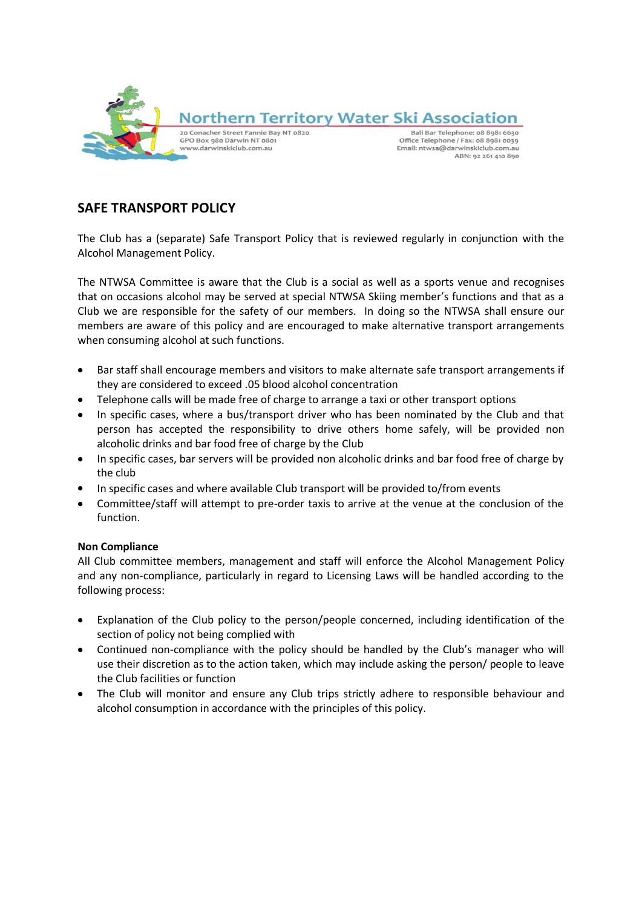

# **SAFE TRANSPORT POLICY**

The Club has a (separate) Safe Transport Policy that is reviewed regularly in conjunction with the Alcohol Management Policy.

The NTWSA Committee is aware that the Club is a social as well as a sports venue and recognises that on occasions alcohol may be served at special NTWSA Skiing member's functions and that as a Club we are responsible for the safety of our members. In doing so the NTWSA shall ensure our members are aware of this policy and are encouraged to make alternative transport arrangements when consuming alcohol at such functions.

- $\bullet$ Bar staff shall encourage members and visitors to make alternate safe transport arrangements if they are considered to exceed .05 blood alcohol concentration
- Telephone calls will be made free of charge to arrange a taxi or other transport options
- In specific cases, where a bus/transport driver who has been nominated by the Club and that person has accepted the responsibility to drive others home safely, will be provided non alcoholic drinks and bar food free of charge by the Club
- In specific cases, bar servers will be provided non alcoholic drinks and bar food free of charge by  $\bullet$ the club
- In specific cases and where available Club transport will be provided to/from events
- Committee/staff will attempt to pre-order taxis to arrive at the venue at the conclusion of the function.

## **Non Compliance**

All Club committee members, management and staff will enforce the Alcohol Management Policy and any non-compliance, particularly in regard to Licensing Laws will be handled according to the following process:

- Explanation of the Club policy to the person/people concerned, including identification of the section of policy not being complied with
- Continued non-compliance with the policy should be handled by the Club's manager who will use their discretion as to the action taken, which may include asking the person/ people to leave the Club facilities or function
- The Club will monitor and ensure any Club trips strictly adhere to responsible behaviour and alcohol consumption in accordance with the principles of this policy.